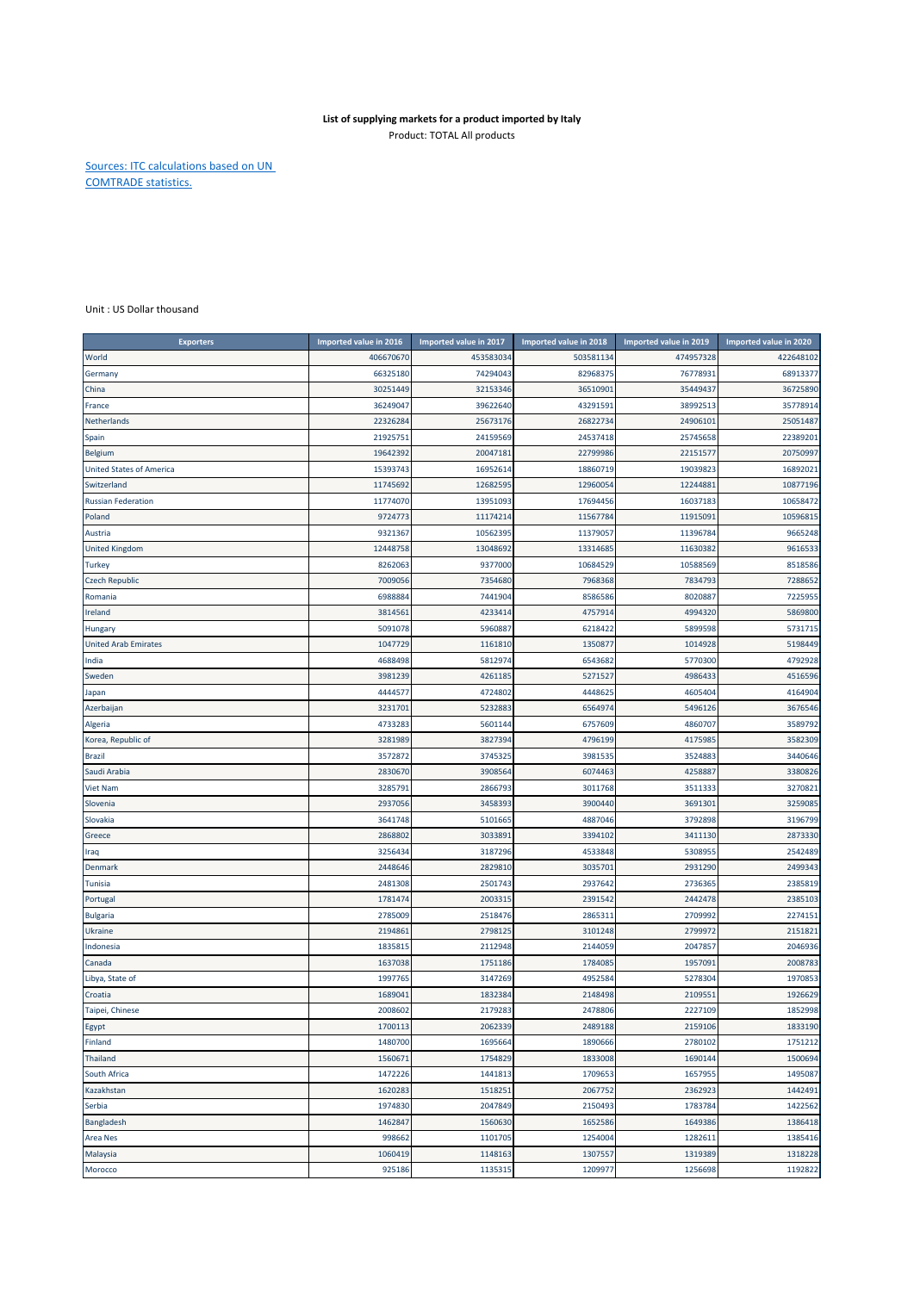## **List of supplying markets for a product imported by Italy** Product: TOTAL All products

Sources: ITC calculations based on UN COMTRADE statistics.

Unit : US Dollar thousand

| 453583034<br>503581134<br>474957328<br>422648102<br>World<br>406670670<br>68913377<br>66325180<br>74294043<br>82968375<br>76778931<br>Germany<br>30251449<br>35449437<br>36725890<br>China<br>32153346<br>36510901<br>36249047<br>39622640<br>43291591<br>38992513<br>35778914<br>France<br>22326284<br>25673176<br>26822734<br>24906101<br>25051487<br>Netherlands<br>22389201<br>21925751<br>24159569<br>24537418<br>25745658<br>Spain<br>19642392<br>20047181<br>22799986<br>22151577<br>20750997<br>Belgium<br><b>United States of America</b><br>15393743<br>16952614<br>18860719<br>19039823<br>16892021<br>12960054<br>12244881<br>Switzerland<br>11745692<br>12682595<br>10877196<br>10658472<br><b>Russian Federation</b><br>11774070<br>13951093<br>17694456<br>16037183<br>Poland<br>9724773<br>11174214<br>11567784<br>11915091<br>10596815<br>9665248<br>Austria<br>9321367<br>10562395<br>11379057<br>11396784<br>12448758<br>13048692<br>13314685<br>11630382<br>9616533<br><b>United Kingdom</b><br>8262063<br>9377000<br>10684529<br>10588569<br>8518586<br><b>Turkey</b><br>7288652<br>7009056<br>7354680<br>7968368<br>7834793<br><b>Czech Republic</b><br>6988884<br>7441904<br>8020887<br>7225955<br>8586586<br>Romania<br>4757914<br>4994320<br>5869800<br>3814561<br>4233414<br>Ireland<br>5731715<br>5091078<br>5960887<br>6218422<br>5899598<br>Hungary<br>1047729<br>5198449<br><b>United Arab Emirates</b><br>1161810<br>1350877<br>1014928<br>4688498<br>5812974<br>5770300<br>4792928<br>India<br>6543682 |
|----------------------------------------------------------------------------------------------------------------------------------------------------------------------------------------------------------------------------------------------------------------------------------------------------------------------------------------------------------------------------------------------------------------------------------------------------------------------------------------------------------------------------------------------------------------------------------------------------------------------------------------------------------------------------------------------------------------------------------------------------------------------------------------------------------------------------------------------------------------------------------------------------------------------------------------------------------------------------------------------------------------------------------------------------------------------------------------------------------------------------------------------------------------------------------------------------------------------------------------------------------------------------------------------------------------------------------------------------------------------------------------------------------------------------------------------------------------------------------------------------------------------------------------|
|                                                                                                                                                                                                                                                                                                                                                                                                                                                                                                                                                                                                                                                                                                                                                                                                                                                                                                                                                                                                                                                                                                                                                                                                                                                                                                                                                                                                                                                                                                                                        |
|                                                                                                                                                                                                                                                                                                                                                                                                                                                                                                                                                                                                                                                                                                                                                                                                                                                                                                                                                                                                                                                                                                                                                                                                                                                                                                                                                                                                                                                                                                                                        |
|                                                                                                                                                                                                                                                                                                                                                                                                                                                                                                                                                                                                                                                                                                                                                                                                                                                                                                                                                                                                                                                                                                                                                                                                                                                                                                                                                                                                                                                                                                                                        |
|                                                                                                                                                                                                                                                                                                                                                                                                                                                                                                                                                                                                                                                                                                                                                                                                                                                                                                                                                                                                                                                                                                                                                                                                                                                                                                                                                                                                                                                                                                                                        |
|                                                                                                                                                                                                                                                                                                                                                                                                                                                                                                                                                                                                                                                                                                                                                                                                                                                                                                                                                                                                                                                                                                                                                                                                                                                                                                                                                                                                                                                                                                                                        |
|                                                                                                                                                                                                                                                                                                                                                                                                                                                                                                                                                                                                                                                                                                                                                                                                                                                                                                                                                                                                                                                                                                                                                                                                                                                                                                                                                                                                                                                                                                                                        |
|                                                                                                                                                                                                                                                                                                                                                                                                                                                                                                                                                                                                                                                                                                                                                                                                                                                                                                                                                                                                                                                                                                                                                                                                                                                                                                                                                                                                                                                                                                                                        |
|                                                                                                                                                                                                                                                                                                                                                                                                                                                                                                                                                                                                                                                                                                                                                                                                                                                                                                                                                                                                                                                                                                                                                                                                                                                                                                                                                                                                                                                                                                                                        |
|                                                                                                                                                                                                                                                                                                                                                                                                                                                                                                                                                                                                                                                                                                                                                                                                                                                                                                                                                                                                                                                                                                                                                                                                                                                                                                                                                                                                                                                                                                                                        |
|                                                                                                                                                                                                                                                                                                                                                                                                                                                                                                                                                                                                                                                                                                                                                                                                                                                                                                                                                                                                                                                                                                                                                                                                                                                                                                                                                                                                                                                                                                                                        |
|                                                                                                                                                                                                                                                                                                                                                                                                                                                                                                                                                                                                                                                                                                                                                                                                                                                                                                                                                                                                                                                                                                                                                                                                                                                                                                                                                                                                                                                                                                                                        |
|                                                                                                                                                                                                                                                                                                                                                                                                                                                                                                                                                                                                                                                                                                                                                                                                                                                                                                                                                                                                                                                                                                                                                                                                                                                                                                                                                                                                                                                                                                                                        |
|                                                                                                                                                                                                                                                                                                                                                                                                                                                                                                                                                                                                                                                                                                                                                                                                                                                                                                                                                                                                                                                                                                                                                                                                                                                                                                                                                                                                                                                                                                                                        |
|                                                                                                                                                                                                                                                                                                                                                                                                                                                                                                                                                                                                                                                                                                                                                                                                                                                                                                                                                                                                                                                                                                                                                                                                                                                                                                                                                                                                                                                                                                                                        |
|                                                                                                                                                                                                                                                                                                                                                                                                                                                                                                                                                                                                                                                                                                                                                                                                                                                                                                                                                                                                                                                                                                                                                                                                                                                                                                                                                                                                                                                                                                                                        |
|                                                                                                                                                                                                                                                                                                                                                                                                                                                                                                                                                                                                                                                                                                                                                                                                                                                                                                                                                                                                                                                                                                                                                                                                                                                                                                                                                                                                                                                                                                                                        |
|                                                                                                                                                                                                                                                                                                                                                                                                                                                                                                                                                                                                                                                                                                                                                                                                                                                                                                                                                                                                                                                                                                                                                                                                                                                                                                                                                                                                                                                                                                                                        |
|                                                                                                                                                                                                                                                                                                                                                                                                                                                                                                                                                                                                                                                                                                                                                                                                                                                                                                                                                                                                                                                                                                                                                                                                                                                                                                                                                                                                                                                                                                                                        |
|                                                                                                                                                                                                                                                                                                                                                                                                                                                                                                                                                                                                                                                                                                                                                                                                                                                                                                                                                                                                                                                                                                                                                                                                                                                                                                                                                                                                                                                                                                                                        |
|                                                                                                                                                                                                                                                                                                                                                                                                                                                                                                                                                                                                                                                                                                                                                                                                                                                                                                                                                                                                                                                                                                                                                                                                                                                                                                                                                                                                                                                                                                                                        |
| 3981239<br>5271527<br>4516596<br>Sweden<br>4261185<br>4986433                                                                                                                                                                                                                                                                                                                                                                                                                                                                                                                                                                                                                                                                                                                                                                                                                                                                                                                                                                                                                                                                                                                                                                                                                                                                                                                                                                                                                                                                          |
| 4444577<br>4724802<br>4448625<br>4164904<br>4605404<br>Japan                                                                                                                                                                                                                                                                                                                                                                                                                                                                                                                                                                                                                                                                                                                                                                                                                                                                                                                                                                                                                                                                                                                                                                                                                                                                                                                                                                                                                                                                           |
| Azerbaijan<br>3231701<br>5232883<br>6564974<br>5496126<br>3676546                                                                                                                                                                                                                                                                                                                                                                                                                                                                                                                                                                                                                                                                                                                                                                                                                                                                                                                                                                                                                                                                                                                                                                                                                                                                                                                                                                                                                                                                      |
| Algeria<br>4733283<br>5601144<br>6757609<br>4860707<br>3589792                                                                                                                                                                                                                                                                                                                                                                                                                                                                                                                                                                                                                                                                                                                                                                                                                                                                                                                                                                                                                                                                                                                                                                                                                                                                                                                                                                                                                                                                         |
| Korea, Republic of<br>3281989<br>3827394<br>4796199<br>4175985<br>3582309                                                                                                                                                                                                                                                                                                                                                                                                                                                                                                                                                                                                                                                                                                                                                                                                                                                                                                                                                                                                                                                                                                                                                                                                                                                                                                                                                                                                                                                              |
| 3572872<br>3745325<br>3981535<br>3524883<br>3440646<br>Brazil                                                                                                                                                                                                                                                                                                                                                                                                                                                                                                                                                                                                                                                                                                                                                                                                                                                                                                                                                                                                                                                                                                                                                                                                                                                                                                                                                                                                                                                                          |
| 4258887<br>3380826<br>Saudi Arabia<br>2830670<br>3908564<br>6074463                                                                                                                                                                                                                                                                                                                                                                                                                                                                                                                                                                                                                                                                                                                                                                                                                                                                                                                                                                                                                                                                                                                                                                                                                                                                                                                                                                                                                                                                    |
| 3270821<br><b>Viet Nam</b><br>3285791<br>2866793<br>3011768<br>3511333                                                                                                                                                                                                                                                                                                                                                                                                                                                                                                                                                                                                                                                                                                                                                                                                                                                                                                                                                                                                                                                                                                                                                                                                                                                                                                                                                                                                                                                                 |
| 3900440<br>3259085<br>Slovenia<br>2937056<br>3458393<br>3691301                                                                                                                                                                                                                                                                                                                                                                                                                                                                                                                                                                                                                                                                                                                                                                                                                                                                                                                                                                                                                                                                                                                                                                                                                                                                                                                                                                                                                                                                        |
| 3196799<br>3641748<br>5101665<br>4887046<br>3792898<br>Slovakia                                                                                                                                                                                                                                                                                                                                                                                                                                                                                                                                                                                                                                                                                                                                                                                                                                                                                                                                                                                                                                                                                                                                                                                                                                                                                                                                                                                                                                                                        |
| 2868802<br>3033893<br>3394102<br>3411130<br>2873330<br>Greece                                                                                                                                                                                                                                                                                                                                                                                                                                                                                                                                                                                                                                                                                                                                                                                                                                                                                                                                                                                                                                                                                                                                                                                                                                                                                                                                                                                                                                                                          |
| 2542489<br>3256434<br>3187296<br>4533848<br>5308955<br>Iraq                                                                                                                                                                                                                                                                                                                                                                                                                                                                                                                                                                                                                                                                                                                                                                                                                                                                                                                                                                                                                                                                                                                                                                                                                                                                                                                                                                                                                                                                            |
| 2448646<br>2829810<br>3035701<br>2931290<br>2499343<br>Denmark                                                                                                                                                                                                                                                                                                                                                                                                                                                                                                                                                                                                                                                                                                                                                                                                                                                                                                                                                                                                                                                                                                                                                                                                                                                                                                                                                                                                                                                                         |
| 2385819<br>2481308<br>2501743<br>2937642<br>2736365<br>Tunisia                                                                                                                                                                                                                                                                                                                                                                                                                                                                                                                                                                                                                                                                                                                                                                                                                                                                                                                                                                                                                                                                                                                                                                                                                                                                                                                                                                                                                                                                         |
| 2385103<br>Portugal<br>1781474<br>2003315<br>2391542<br>2442478                                                                                                                                                                                                                                                                                                                                                                                                                                                                                                                                                                                                                                                                                                                                                                                                                                                                                                                                                                                                                                                                                                                                                                                                                                                                                                                                                                                                                                                                        |
| 2274151<br><b>Bulgaria</b><br>2785009<br>2518476<br>2865311<br>2709992                                                                                                                                                                                                                                                                                                                                                                                                                                                                                                                                                                                                                                                                                                                                                                                                                                                                                                                                                                                                                                                                                                                                                                                                                                                                                                                                                                                                                                                                 |
| 2194861<br>2798125<br>3101248<br>2799972<br>2151821<br><b>Ukraine</b>                                                                                                                                                                                                                                                                                                                                                                                                                                                                                                                                                                                                                                                                                                                                                                                                                                                                                                                                                                                                                                                                                                                                                                                                                                                                                                                                                                                                                                                                  |
| Indonesia<br>1835815<br>2112948<br>2144059<br>2047857<br>2046936                                                                                                                                                                                                                                                                                                                                                                                                                                                                                                                                                                                                                                                                                                                                                                                                                                                                                                                                                                                                                                                                                                                                                                                                                                                                                                                                                                                                                                                                       |
| 2008783<br>1637038<br>1751186<br>1784085<br>1957091<br>Canada                                                                                                                                                                                                                                                                                                                                                                                                                                                                                                                                                                                                                                                                                                                                                                                                                                                                                                                                                                                                                                                                                                                                                                                                                                                                                                                                                                                                                                                                          |
| 1970853<br>Libya, State of<br>1997765<br>3147269<br>4952584<br>5278304                                                                                                                                                                                                                                                                                                                                                                                                                                                                                                                                                                                                                                                                                                                                                                                                                                                                                                                                                                                                                                                                                                                                                                                                                                                                                                                                                                                                                                                                 |
| 1689041<br>1832384<br>2148498<br>2109551<br>1926629<br>Croatia                                                                                                                                                                                                                                                                                                                                                                                                                                                                                                                                                                                                                                                                                                                                                                                                                                                                                                                                                                                                                                                                                                                                                                                                                                                                                                                                                                                                                                                                         |
| 2008602<br>2179283<br>2478806<br>2227109<br>1852998<br>Taipei, Chinese                                                                                                                                                                                                                                                                                                                                                                                                                                                                                                                                                                                                                                                                                                                                                                                                                                                                                                                                                                                                                                                                                                                                                                                                                                                                                                                                                                                                                                                                 |
| 1700113<br>2062339<br>2489188<br>2159106<br>1833190<br>Egypt                                                                                                                                                                                                                                                                                                                                                                                                                                                                                                                                                                                                                                                                                                                                                                                                                                                                                                                                                                                                                                                                                                                                                                                                                                                                                                                                                                                                                                                                           |
| 1480700<br>1695664<br>1890666<br>2780102<br>1751212<br>Finland                                                                                                                                                                                                                                                                                                                                                                                                                                                                                                                                                                                                                                                                                                                                                                                                                                                                                                                                                                                                                                                                                                                                                                                                                                                                                                                                                                                                                                                                         |
| Thailand<br>1560671<br>1754829<br>1833008<br>1690144<br>1500694                                                                                                                                                                                                                                                                                                                                                                                                                                                                                                                                                                                                                                                                                                                                                                                                                                                                                                                                                                                                                                                                                                                                                                                                                                                                                                                                                                                                                                                                        |
| 1472226<br>1441813<br>1709653<br>1657955<br>1495087<br>South Africa                                                                                                                                                                                                                                                                                                                                                                                                                                                                                                                                                                                                                                                                                                                                                                                                                                                                                                                                                                                                                                                                                                                                                                                                                                                                                                                                                                                                                                                                    |
| 1620283<br>1518251<br>2067752<br>2362923<br>1442491<br>Kazakhstan                                                                                                                                                                                                                                                                                                                                                                                                                                                                                                                                                                                                                                                                                                                                                                                                                                                                                                                                                                                                                                                                                                                                                                                                                                                                                                                                                                                                                                                                      |
| 2047849<br>2150493<br>1783784<br>1422562<br>Serbia<br>1974830                                                                                                                                                                                                                                                                                                                                                                                                                                                                                                                                                                                                                                                                                                                                                                                                                                                                                                                                                                                                                                                                                                                                                                                                                                                                                                                                                                                                                                                                          |
| 1462847<br>1560630<br>1652586<br>1649386<br>1386418<br>Bangladesh                                                                                                                                                                                                                                                                                                                                                                                                                                                                                                                                                                                                                                                                                                                                                                                                                                                                                                                                                                                                                                                                                                                                                                                                                                                                                                                                                                                                                                                                      |
| 1254004<br>1282611<br>1385416<br>Area Nes<br>998662<br>1101705                                                                                                                                                                                                                                                                                                                                                                                                                                                                                                                                                                                                                                                                                                                                                                                                                                                                                                                                                                                                                                                                                                                                                                                                                                                                                                                                                                                                                                                                         |
| 1307557<br>1319389<br>1318228<br>Malaysia<br>1060419<br>1148163                                                                                                                                                                                                                                                                                                                                                                                                                                                                                                                                                                                                                                                                                                                                                                                                                                                                                                                                                                                                                                                                                                                                                                                                                                                                                                                                                                                                                                                                        |
| 1209977<br>1256698<br>1192822<br>Morocco<br>925186<br>1135315                                                                                                                                                                                                                                                                                                                                                                                                                                                                                                                                                                                                                                                                                                                                                                                                                                                                                                                                                                                                                                                                                                                                                                                                                                                                                                                                                                                                                                                                          |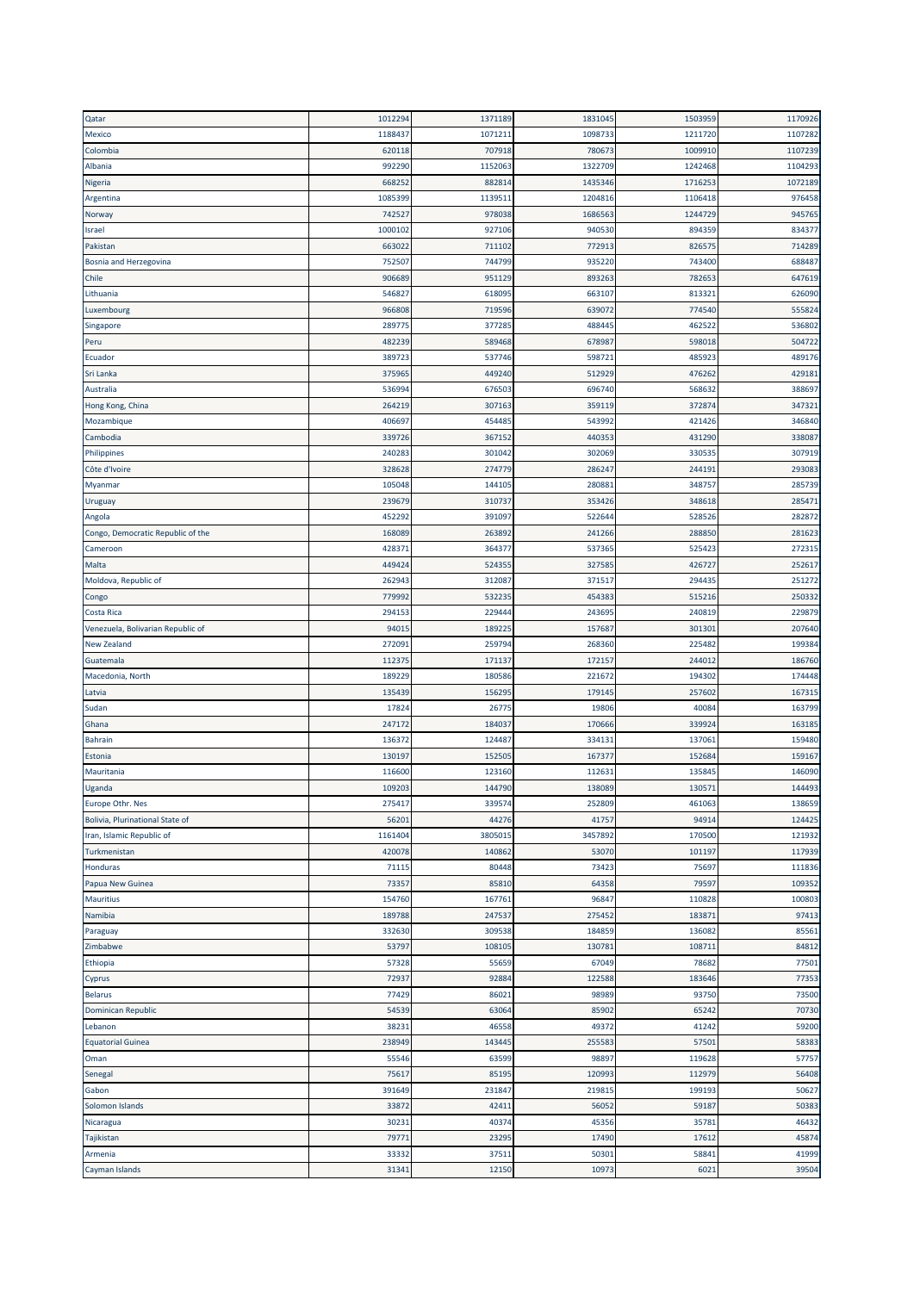| Qatar                             | 1012294 | 1371189 | 1831045 | 1503959          | 1170926 |
|-----------------------------------|---------|---------|---------|------------------|---------|
| Mexico                            | 1188437 | 1071211 | 1098733 | 1211720          | 1107282 |
| Colombia                          | 620118  | 707918  | 780673  | 1009910          | 1107239 |
| Albania                           | 992290  | 1152063 | 1322709 | 1242468          | 1104293 |
| Nigeria                           | 668252  | 882814  | 1435346 | 1716253          | 1072189 |
| Argentina                         | 1085399 | 1139511 | 1204816 | 1106418          | 976458  |
| Norway                            | 742527  | 978038  | 1686563 | 1244729          | 945765  |
| Israel                            | 1000102 | 927106  | 940530  | 894359           | 834377  |
| Pakistan                          | 663022  | 711102  | 772913  | 826575           | 714289  |
|                                   | 752507  | 744799  | 935220  | 743400           | 688487  |
| <b>Bosnia and Herzegovina</b>     |         |         |         |                  |         |
| Chile                             | 906689  | 951129  | 893263  | 782653           | 647619  |
| Lithuania                         | 546827  | 618095  | 663107  | 813321           | 626090  |
| Luxembourg                        | 966808  | 719596  | 639072  | 774540           | 555824  |
| Singapore                         | 289775  | 377285  | 488445  | 462522           | 536802  |
| Peru                              | 482239  | 589468  | 678987  | 598018           | 504722  |
| Ecuador                           | 389723  | 537746  | 598721  | 485923           | 489176  |
| Sri Lanka                         | 375965  | 449240  | 51292   | 476262           | 429181  |
| Australia                         | 536994  | 676503  | 696740  | 568632           | 388697  |
| Hong Kong, China                  | 264219  | 307163  | 359119  | 372874           | 347321  |
| Mozambique                        | 406697  | 454485  | 543992  | 421426           | 346840  |
| Cambodia                          | 339726  | 367152  | 440353  | 431290           | 338087  |
| Philippines                       | 240283  | 301042  | 302069  | 330535           | 307919  |
| Côte d'Ivoire                     | 328628  | 274779  | 286247  | 244191           | 293083  |
| Myanmar                           | 105048  | 144105  | 280881  | 348757           | 285739  |
| Uruguay                           | 239679  | 310737  | 353426  | 348618           | 285471  |
| Angola                            | 452292  | 391097  | 522644  | 528526           | 282872  |
| Congo, Democratic Republic of the | 168089  | 263892  | 241266  | 288850           | 281623  |
| Cameroon                          | 428371  | 364377  | 537365  | 525423           | 272315  |
| Malta                             | 449424  | 524355  | 327585  | 426727           | 252617  |
| Moldova, Republic of              | 262943  | 312087  | 371517  | 294435           | 251272  |
| Congo                             | 779992  | 532235  | 454383  | 515216           | 250332  |
| Costa Rica                        | 294153  | 229444  | 243695  | 240819           | 229879  |
|                                   |         |         |         |                  | 207640  |
| Venezuela, Bolivarian Republic of | 94015   | 189225  | 157687  | 301301           |         |
| <b>New Zealand</b>                | 272091  | 259794  | 268360  | 225482<br>244012 | 199384  |
| Guatemala                         | 112375  | 171137  | 172157  |                  | 186760  |
| Macedonia, North                  | 189229  | 180586  | 221672  | 194302           | 174448  |
| Latvia                            | 135439  | 156295  | 179145  | 257602           | 167315  |
| Sudan                             | 17824   | 26775   | 19806   | 40084            | 163799  |
| Ghana                             | 247172  | 184037  | 170666  | 339924           | 163185  |
| <b>Bahrain</b>                    | 136372  | 124487  | 334131  | 137061           | 159480  |
| Estonia                           | 130197  | 152505  | 167377  | 152684           | 159167  |
| Mauritania                        | 116600  | 123160  | 11263:  | 135845           | 146090  |
| Uganda                            | 109203  | 144790  | 138089  | 130571           | 144493  |
| Europe Othr. Nes                  | 275417  | 339574  | 252809  | 461063           | 138659  |
| Bolivia, Plurinational State of   | 56201   | 44276   | 41757   | 94914            | 124425  |
| Iran, Islamic Republic of         | 1161404 | 3805015 | 3457892 | 170500           | 121932  |
| Turkmenistan                      | 420078  | 140862  | 53070   | 101197           | 117939  |
| Honduras                          | 71115   | 80448   | 73423   | 75697            | 111836  |
| Papua New Guinea                  | 73357   | 85810   | 64358   | 79597            | 109352  |
| <b>Mauritius</b>                  | 154760  | 167761  | 96847   | 110828           | 100803  |
| Namibia                           | 189788  | 247537  | 275452  | 183871           | 97413   |
| Paraguay                          | 332630  | 309538  | 184859  | 136082           | 85561   |
| Zimbabwe                          | 53797   | 108105  | 130781  | 108711           | 84812   |
| Ethiopia                          | 57328   | 55659   | 67049   | 78682            | 77501   |
| Cyprus                            | 72937   | 92884   | 122588  | 183646           | 77353   |
| <b>Belarus</b>                    | 77429   | 86021   | 98989   | 93750            | 73500   |
| Dominican Republic                | 54539   | 63064   | 85902   | 65242            | 70730   |
| Lebanon                           | 38231   | 46558   | 49372   | 41242            | 59200   |
| <b>Equatorial Guinea</b>          | 238949  | 143445  | 255583  | 57501            | 58383   |
| Oman                              | 55546   | 63599   | 98897   | 119628           | 57757   |
|                                   | 75617   | 85195   | 120993  | 112979           | 56408   |
| Senegal                           |         |         |         |                  |         |
| Gabon                             | 391649  | 231847  | 219815  | 199193           | 50627   |
| Solomon Islands                   | 33872   | 42411   | 56052   | 59187            | 50383   |
| Nicaragua                         | 30231   | 40374   | 45356   | 35781            | 46432   |
| Tajikistan                        | 79771   | 23295   | 17490   | 17612            | 45874   |
| Armenia                           | 33332   | 37511   | 50301   | 58841            | 41999   |
| Cayman Islands                    | 31341   | 12150   | 10973   | 6021             | 39504   |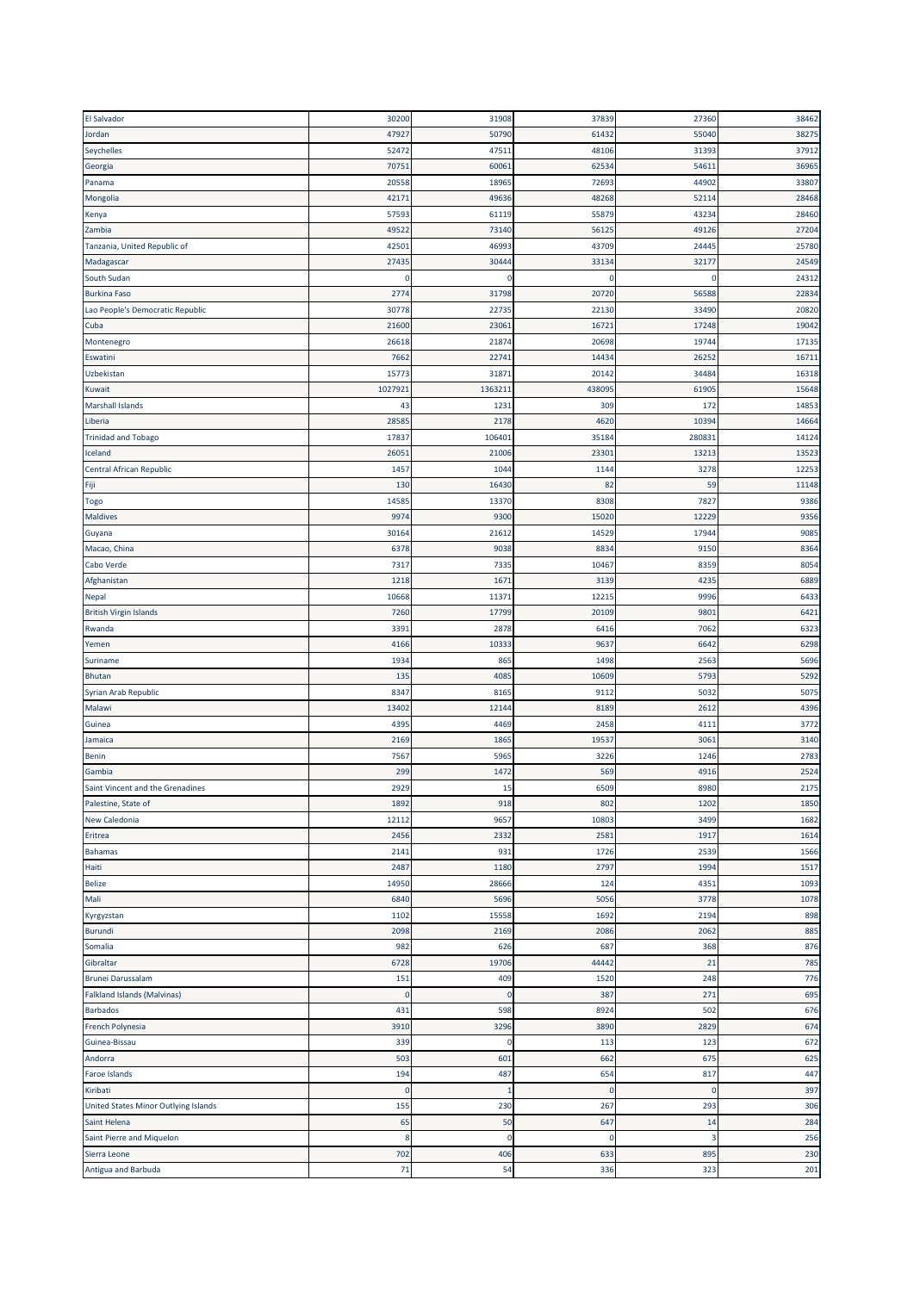| <b>El Salvador</b>                   | 30200          | 31908         | 37839       | 27360        | 38462 |
|--------------------------------------|----------------|---------------|-------------|--------------|-------|
| Jordan                               | 47927          | 50790         | 61432       | 55040        | 38275 |
| Seychelles                           | 52472          | 47511         | 48106       | 31393        | 37912 |
| Georgia                              | 70751          | 60061         | 62534       | 54611        | 36965 |
| Panama                               | 20558          | 18965         | 72693       | 44902        | 33807 |
| Mongolia                             | 42171          | 49636         | 48268       | 52114        | 28468 |
| Kenya                                | 57593          | 61119         | 55879       | 43234        | 28460 |
| Zambia                               | 49522          | 73140         | 56125       | 49126        | 27204 |
| Tanzania, United Republic of         | 42501          | 46993         | 43709       | 24445        | 25780 |
| Madagascar                           | 27435          | 30444         | 33134       | 32177        | 24549 |
| South Sudan                          | $\mathsf{C}$   | $\Omega$      | $\mathbf 0$ | $\Omega$     | 24312 |
| <b>Burkina Faso</b>                  | 2774           | 31798         | 20720       | 56588        | 22834 |
| Lao People's Democratic Republic     | 30778          | 22735         | 22130       | 33490        | 20820 |
| Cuba                                 | 21600          | 23061         | 16721       | 17248        | 19042 |
| Montenegro                           | 26618          | 21874         | 20698       | 19744        | 17135 |
| Eswatini                             | 7662           | 22741         | 14434       | 26252        | 16711 |
| Uzbekistan                           | 15773          | 31871         | 2014        | 34484        | 16318 |
| Kuwait                               | 1027921        | 136321:       | 438095      | 61905        | 15648 |
| <b>Marshall Islands</b>              | 43             | 1231          | 309         | 172          | 14853 |
| Liberia                              | 28585          | 2178          | 4620        | 10394        | 14664 |
| <b>Trinidad and Tobago</b>           | 17837          | 106401        | 35184       | 280831       | 14124 |
| Iceland                              | 26051          | 21006         | 23301       | 13213        | 13523 |
| Central African Republic             | 1457           | 1044          | 1144        | 3278         | 12253 |
| Fiji                                 | 130            | 16430         | 82          | 59           | 11148 |
| Togo                                 | 14585          | 13370         | 8308        | 7827         | 9386  |
| <b>Maldives</b>                      | 9974           | 9300          | 15020       | 12229        | 9356  |
| Guyana                               | 30164          | 21612         | 14529       | 17944        | 9085  |
| Macao, China                         | 6378           | 9038          | 8834        | 9150         | 8364  |
| Cabo Verde                           | 7317           | 7335          | 10467       | 8359         | 8054  |
|                                      | 1218           | 1671          | 3139        | 4235         | 6889  |
| Afghanistan<br>Nepal                 | 10668          | 11371         | 12215       | 9996         | 6433  |
| <b>British Virgin Islands</b>        |                | 17799         | 20109       | 9801         | 6421  |
|                                      | 7260           |               |             |              |       |
| Rwanda                               | 3391           | 2878<br>10333 | 6416        | 7062<br>6642 | 6323  |
| Yemen                                | 4166           |               | 9637        |              | 6298  |
| Suriname                             | 1934           | 865           | 1498        | 2563         | 5696  |
| Bhutan                               | 135            | 4085          | 10609       | 5793         | 5292  |
| Syrian Arab Republic                 | 8347           | 8165          | 9112        | 5032         | 5075  |
| Malawi                               | 13402          | 12144         | 8189        | 2612         | 4396  |
| Guinea                               | 4395           | 4469          | 2458        | 4111         | 3772  |
| Jamaica                              | 2169           | 1865          | 19537       | 3061         | 3140  |
| <b>Benin</b>                         | 7567           | 5965          | 3226        | 1246         | 2783  |
| Gambia                               | 299            | 1472          | 569         | 4916         | 2524  |
| Saint Vincent and the Grenadines     | 2929           | 15            | 6509        | 8980         | 2175  |
| Palestine, State of                  | 1892           | 918           | 802         | 1202         | 1850  |
| New Caledonia                        | 12112          | 9657          | 10803       | 3499         | 1682  |
| Eritrea                              | 2456           | 2332          | 2581        | 1917         | 1614  |
| Bahamas                              | 2141           | 931           | 1726        | 2539         | 1566  |
| Haiti                                | 2487           | 1180          | 2797        | 1994         | 1517  |
| <b>Belize</b>                        | 14950          | 28666         | 124         | 4351         | 1093  |
| Mali                                 | 6840           | 5696          | 5056        | 3778         | 1078  |
| Kyrgyzstan                           | 1102           | 15558         | 1692        | 2194         | 898   |
| <b>Burundi</b>                       | 2098           | 2169          | 2086        | 2062         | 885   |
| Somalia                              | 982            | 626           | 687         | 368          | 876   |
| Gibraltar                            | 6728           | 19706         | 44442       | 21           | 785   |
| <b>Brunei Darussalam</b>             | 151            | 409           | 1520        | 248          | 776   |
| Falkland Islands (Malvinas)          | $\overline{0}$ | $\mathbf 0$   | 387         | 271          | 695   |
| <b>Barbados</b>                      | 431            | 598           | 8924        | 502          | 676   |
| French Polynesia                     | 3910           | 3296          | 3890        | 2829         | 674   |
| Guinea-Bissau                        | 339            | 0             | 113         | 123          | 672   |
| Andorra                              | 503            | 601           | 662         | 675          | 625   |
| Faroe Islands                        | 194            | 487           | 654         | 817          | 447   |
| Kiribati                             | $\mathbf 0$    | 1             | $\mathbf 0$ | $\mathbf 0$  | 397   |
| United States Minor Outlying Islands | 155            | 230           | 267         | 293          | 306   |
| Saint Helena                         | 65             | 50            | 647         | 14           | 284   |
| Saint Pierre and Miquelon            | 8              | 0             | $\mathbf 0$ | В            | 256   |
| Sierra Leone                         | 702            | 406           | 633         | 895          | 230   |
| Antigua and Barbuda                  | 71             | 54            | 336         | 323          | 201   |